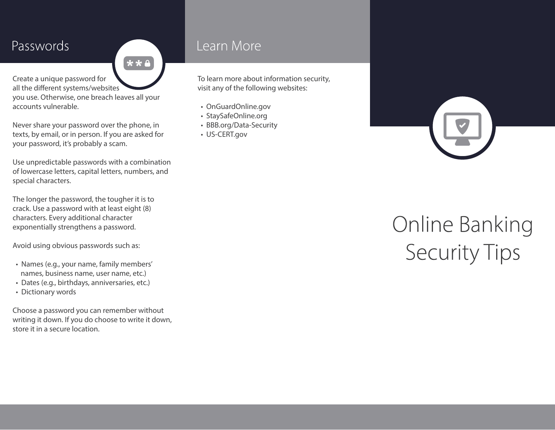### Passwords

Create a unique password for all the different systems/websites you use. Otherwise, one breach leaves all your accounts vulnerable.

**★★△** 

Never share your password over the phone, in texts, by email, or in person. If you are asked for your password, it's probably a scam.

Use unpredictable passwords with a combination of lowercase letters, capital letters, numbers, and special characters.

The longer the password, the tougher it is to crack. Use a password with at least eight (8) characters. Every additional character exponentially strengthens a password.

Avoid using obvious passwords such as:

- Names (e.g., your name, family members' names, business name, user name, etc.)
- Dates (e.g., birthdays, anniversaries, etc.)
- Dictionary words

Choose a password you can remember without writing it down. If you do choose to write it down, store it in a secure location.

#### Learn More

To learn more about information security, visit any of the following websites:

- OnGuardOnline.gov
- StaySafeOnline.org
- BBB.org/Data-Security
- US-CERT.gov

# **Online Banking<br>Security Tips**